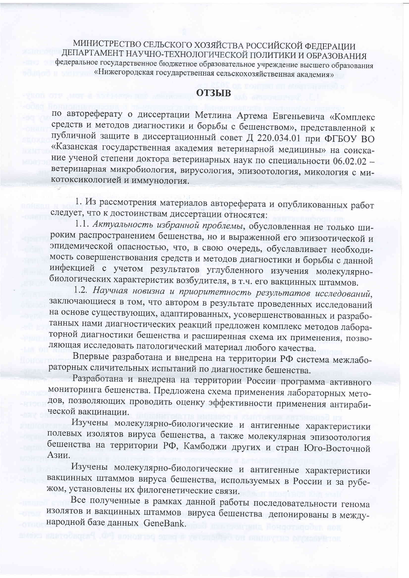МИНИСТРЕСТВО СЕЛЬСКОГО ХОЗЯЙСТВА РОССИЙСКОЙ ФЕДЕРАЦИИ ДЕПАРТАМЕНТ НАУЧНО-ТЕХНОЛОГИЧЕСКОЙ ПОЛИТИКИ И ОБРАЗОВАНИЯ федеральное государственное бюджетное образовательное учреждение высшего образования «Нижегородская государственная сельскохозяйственная академия»

## **ОТЗЫВ**

по автореферату о диссертации Метлина Артема Евгеньевича «Комплекс средств и методов диагностики и борьбы с бешенством», представленной к публичной защите в диссертационный совет Д 220.034.01 при ФГБОУ ВО «Казанская государственная академия ветеринарной медицины» на соискание ученой степени доктора ветеринарных наук по специальности 06.02.02 ветеринарная микробиология, вирусология, эпизоотология, микология с микотоксикологией и иммунология.

1. Из рассмотрения материалов автореферата и опубликованных работ следует, что к достоинствам диссертации относятся:

1.1. Актуальность избранной проблемы, обусловленная не только широким распространением бешенства, но и выраженной его эпизоотической и эпидемической опасностью, что, в свою очередь, обуславливает необходимость совершенствования средств и методов диагностики и борьбы с данной инфекцией с учетом результатов углубленного изучения молекулярнобиологических характеристик возбудителя, в т.ч. его вакцинных штаммов.

1.2. Научная новизна и приоритетность результатов исследований, заключающиеся в том, что автором в результате проведенных исследований на основе существующих, адаптированных, усовершенствованных и разработанных нами диагностических реакций предложен комплекс методов лабораторной диагностики бешенства и расширенная схема их применения, позволяющая исследовать патологический материал любого качества.

Впервые разработана и внедрена на территории РФ система межлабораторных сличительных испытаний по диагностике бешенства.

Разработана и внедрена на территории России программа-активного мониторинга бешенства. Предложена схема применения лабораторных методов, позволяющих проводить оценку эффективности применения антирабической вакцинации.

Изучены молекулярно-биологические и антигенные характеристики полевых изолятов вируса бешенства, а также молекулярная эпизоотология бешенства на территории РФ, Камбоджи других и стран Юго-Восточной Азии.

Изучены молекулярно-биологические и антигенные характеристики вакцинных штаммов вируса бешенства, используемых в России и за рубежом, установлены их филогенетические связи.

Все полученные в рамках данной работы последовательности генома изолятов и вакцинных штаммов вируса бешенства депонированы в международной базе данных GeneBank.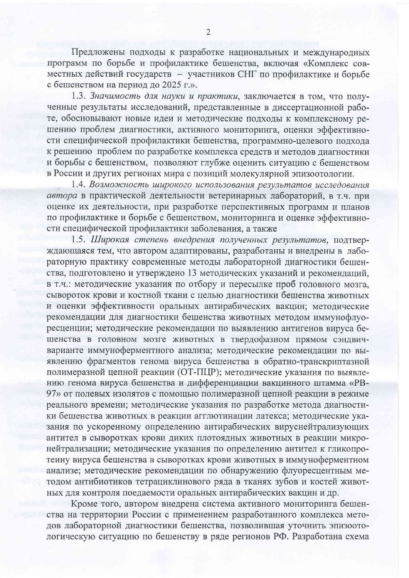Предложены подходы к разработке национальных и международных программ по борьбе и профилактике бешенства, включая «Комплекс совместных действий государств - участников СНГ по профилактике и борьбе с бешенством на период до 2025 г.».

1.3. Значимость для науки и практики, заключается в том, что полученные результаты исследований, представленные в диссертационной работе, обосновывают новые идеи и методические подходы к комплексному решению проблем диагностики, активного мониторинга, оценки эффективности специфической профилактики бешенства, программно-целевого подхода к решению проблем по разработке комплекса средств и методов диагностики и борьбы с бешенством, позволяют глубже оценить ситуацию с бешенством в России и других регионах мира с позиций молекулярной эпизоотологии.

1.4. Возможность широкого использования результатов исследования автора в практической деятельности ветеринарных лабораторий, в т.ч. при оценке их деятельности, при разработке перспективных программ и планов по профилактике и борьбе с бешенством, мониторинга и оценке эффективности специфической профилактики заболевания, а также

1.5. Широкая степень внедрения полученных результатов, подтверждающаяся тем, что автором адаптированы, разработаны и внедрены в лабораторную практику современные методы лабораторной диагностики бешенства, подготовлено и утверждено 13 методических указаний и рекомендаций, в т.ч.: методические указания по отбору и пересылке проб головного мозга, сывороток крови и костной ткани с целью диагностики бешенства животных и оценки эффективности оральных антирабических вакцин; методические рекомендации для диагностики бешенства животных методом иммунофлуоресценции; методические рекомендации по выявлению антигенов вируса бешенства в головном мозге животных в твердофазном прямом сэндвичварианте иммуноферментного анализа; методические рекомендации по выявлению фрагментов генома вируса бешенства в обратно-транскриптазной полимеразной цепной реакции (ОТ-ПЦР); методические указания по выявлению генома вируса бешенства и дифференциации вакцинного штамма «PB-97» от полевых изолятов с помощью полимеразной цепной реакции в режиме реального времени; методические указания по разработке метода диагностики бешенства животных в реакции агглютинации латекса; методические указания по ускоренному определению антирабических вируснейтрализующих антител в сыворотках крови диких плотоядных животных в реакции микронейтрализации; методические указания по определению антител к гликопротеину вируса бешенства в сыворотках крови животных в иммуноферментном анализе; методические рекомендации по обнаружению флуоресцентным методом антибиотиков тетрациклинового ряда в тканях зубов и костей животных для контроля поедаемости оральных антирабических вакцин и др.

Кроме того, автором внедрена система активного мониторинга бешенства на территории России с применением разработанного комплекса методов лабораторной диагностики бешенства, позволившая уточнить эпизоотологическую ситуацию по бешенству в ряде регионов РФ. Разработана схема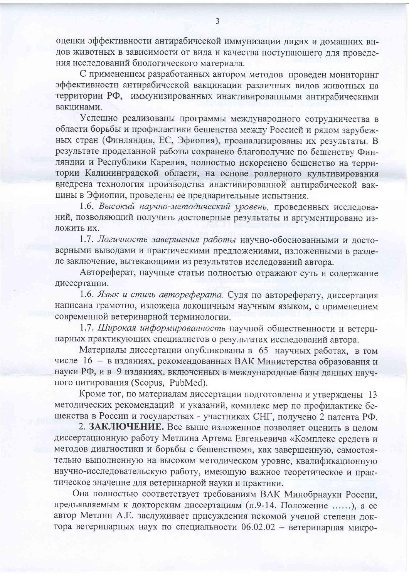оценки эффективности антирабической иммунизации диких и домашних видов животных в зависимости от вида и качества поступающего для проведения исследований биологического материала.

С применением разработанных автором методов проведен мониторинг эффективности антирабической вакцинации различных видов животных на территории РФ, иммунизированных инактивированными антирабическими вакцинами.

Успешно реализованы программы международного сотрудничества в области борьбы и профилактики бешенства между Россией и рядом зарубежных стран (Финляндия, ЕС, Эфиопия), проанализированы их результаты. В результате проделанной работы сохранено благополучие по бешенству Финляндии и Республики Карелия, полностью искоренено бешенство на территории Калининградской области, на основе роллерного культивирования внедрена технология производства инактивированной антирабической вакцины в Эфиопии, проведены ее предварительные испытания.

1.6. Высокий научно-методический уровень, проведенных исследований, позволяющий получить достоверные результаты и аргументировано изложить их.

1.7. Логичность завершения работы научно-обоснованными и достоверными выводами и практическими предложениями, изложенными в разделе заключение, вытекающими из результатов исследований автора.

Автореферат, научные статьи полностью отражают суть и содержание диссертации.

1.6. Язык и стиль автореферата. Судя по автореферату, диссертация написана грамотно, изложена лаконичным научным языком, с применением современной ветеринарной терминологии.

1.7. Широкая информированность научной общественности и ветеринарных практикующих специалистов о результатах исследований автора.

Материалы диссертации опубликованы в 65 научных работах, в том числе 16 - в изданиях, рекомендованных ВАК Министерства образования и науки РФ, и в 9 изданиях, включенных в международные базы данных научного цитирования (Scopus, PubMed).

Кроме тог, по материалам диссертации подготовлены и утверждены 13 методических рекомендаций и указаний, комплекс мер по профилактике бешенства в России и государствах - участниках СНГ, получено 2 патента РФ.

2. ЗАКЛЮЧЕНИЕ. Все выше изложенное позволяет оценить в целом диссертационную работу Метлина Артема Евгеньевича «Комплекс средств и методов диагностики и борьбы с бешенством», как завершенную, самостоятельно выполненную на высоком методическом уровне, квалификационную научно-исследовательскую работу, имеющую важное теоретическое и практическое значение для ветеринарной науки и практики.

Она полностью соответствует требованиям ВАК Минобрнауки России, предъявляемым к докторским диссертациям (п.9-14. Положение ......), а ее автор Метлин А.Е. заслуживает присуждения искомой ученой степени доктора ветеринарных наук по специальности 06.02.02 - ветеринарная микро